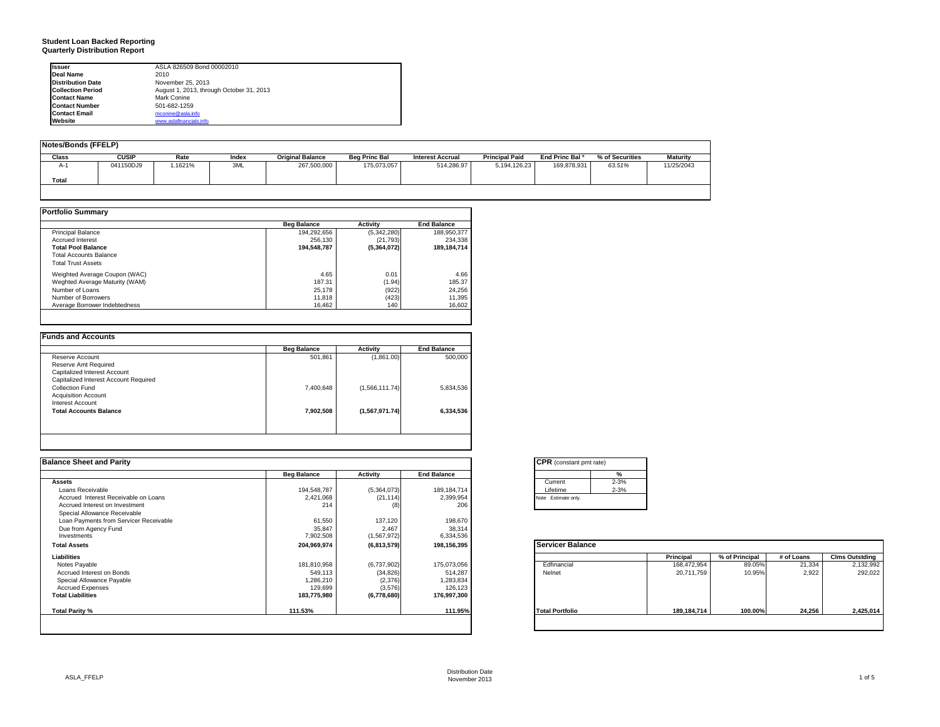# **Student Loan Backed Reporting Quarterly Distribution Report**

| <b>Issuer</b>            | ASLA 826509 Bond 00002010                |  |
|--------------------------|------------------------------------------|--|
| Deal Name                | 2010                                     |  |
| <b>Distribution Date</b> | November 25, 2013                        |  |
| <b>Collection Period</b> | August 1, 2013, through October 31, 2013 |  |
| <b>Contact Name</b>      | Mark Conine                              |  |
| <b>Contact Number</b>    | 501-682-1259                             |  |
| <b>Contact Email</b>     | mconine@asla.info                        |  |
| Website                  | www.aslafinancials.info                  |  |

| Notes/Bonds (FFELP) |              |         |       |                         |                      |                         |                       |                            |                 |                 |
|---------------------|--------------|---------|-------|-------------------------|----------------------|-------------------------|-----------------------|----------------------------|-----------------|-----------------|
|                     |              |         |       |                         |                      |                         |                       |                            |                 |                 |
| Class               | <b>CUSIP</b> | Rate    | Index | <b>Original Balance</b> | <b>Beg Princ Bal</b> | <b>Interest Accrual</b> | <b>Principal Paid</b> | End Princ Bal <sup>a</sup> | % of Securities | <b>Maturity</b> |
| $A-1$               | 041150DJ9    | 1.1621% | 3ML   | 267,500,000             | 175,073,057          | 514,286.97              | 5.194.126.23          | 169.878.931                | 63.51%          | 11/25/2043      |
|                     |              |         |       |                         |                      |                         |                       |                            |                 |                 |
| Total               |              |         |       |                         |                      |                         |                       |                            |                 |                 |
|                     |              |         |       |                         |                      |                         |                       |                            |                 |                 |
|                     |              |         |       |                         |                      |                         |                       |                            |                 |                 |

#### **Portfolio Summary**

|                                | <b>Beg Balance</b> | <b>Activity</b> | <b>End Balance</b> |
|--------------------------------|--------------------|-----------------|--------------------|
| <b>Principal Balance</b>       | 194.292.656        | (5,342,280)     | 188,950,377        |
| <b>Accrued Interest</b>        | 256.130            | (21, 793)       | 234.338            |
| <b>Total Pool Balance</b>      | 194.548.787        | (5.364.072)     | 189.184.714        |
| Total Accounts Balance         |                    |                 |                    |
| <b>Total Trust Assets</b>      |                    |                 |                    |
| Weighted Average Coupon (WAC)  | 4.65               | 0.01            | 4.66               |
| Weghted Average Maturity (WAM) | 187.31             | (1.94)          | 185.37             |
| Number of Loans                | 25,178             | (922)           | 24,256             |
| Number of Borrowers            | 11.818             | (423)           | 11,395             |
| Average Borrower Indebtedness  | 16.462             | 140             | 16,602             |

|                                       | <b>Beg Balance</b> | <b>Activity</b> | <b>End Balance</b> |
|---------------------------------------|--------------------|-----------------|--------------------|
| Reserve Account                       | 501,861            | (1,861.00)      | 500.000            |
| Reserve Amt Required                  |                    |                 |                    |
| Capitalized Interest Account          |                    |                 |                    |
| Capitalized Interest Account Required |                    |                 |                    |
| Collection Fund                       | 7,400,648          | (1,566,111.74)  | 5,834,536          |
| <b>Acquisition Account</b>            |                    |                 |                    |
| Interest Account                      |                    |                 |                    |
| <b>Total Accounts Balance</b>         | 7,902,508          | (1,567,971.74)  | 6,334,536          |

| <b>Balance Sheet and Parity</b>        |                    |                 |                    | <b>CPR</b> (constant pmt rate) |               |                |            |                       |
|----------------------------------------|--------------------|-----------------|--------------------|--------------------------------|---------------|----------------|------------|-----------------------|
|                                        | <b>Beg Balance</b> | <b>Activity</b> | <b>End Balance</b> | $\frac{9}{6}$                  |               |                |            |                       |
| <b>Assets</b>                          |                    |                 |                    | $2 - 3%$<br>Current            |               |                |            |                       |
| Loans Receivable                       | 194,548,787        | (5,364,073)     | 189, 184, 714      | $2 - 3%$<br>Lifetime           |               |                |            |                       |
| Accrued Interest Receivable on Loans   | 2,421,068          | (21, 114)       | 2,399,954          | Note Estimate only.            |               |                |            |                       |
| Accrued Interest on Investment         | 214                | (8)             | 206                |                                |               |                |            |                       |
| Special Allowance Receivable           |                    |                 |                    |                                |               |                |            |                       |
| Loan Payments from Servicer Receivable | 61,550             | 137,120         | 198,670            |                                |               |                |            |                       |
| Due from Agency Fund                   | 35,847             | 2,467           | 38,314             |                                |               |                |            |                       |
| Investments                            | 7,902,508          | (1,567,972)     | 6,334,536          |                                |               |                |            |                       |
| <b>Total Assets</b>                    | 204,969,974        | (6,813,579)     | 198,156,395        | <b>Servicer Balance</b>        |               |                |            |                       |
| Liabilities                            |                    |                 |                    |                                | Principal     | % of Principal | # of Loans | <b>Clms Outstding</b> |
| Notes Payable                          | 181,810,958        | (6,737,902)     | 175,073,056        | Edfinancial                    | 168,472,954   | 89.05%         | 21,334     | 2,132,992             |
| Accrued Interest on Bonds              | 549,113            | (34, 826)       | 514,287            | Nelnet                         | 20,711,759    | 10.95%         | 2,922      | 292,022               |
| Special Allowance Payable              | 1,286,210          | (2, 376)        | 1,283,834          |                                |               |                |            |                       |
| <b>Accrued Expenses</b>                | 129,699            | (3, 576)        | 126,123            |                                |               |                |            |                       |
| <b>Total Liabilities</b>               | 183,775,980        | (6,778,680)     | 176,997,300        |                                |               |                |            |                       |
| Total Parity %                         | 111.53%            |                 | 111.95%            | <b>Total Portfolio</b>         | 189, 184, 714 | 100.00%        | 24,256     | 2,425,014             |
|                                        |                    |                 |                    |                                |               |                |            |                       |

|          | %        |
|----------|----------|
| Current  | $2 - 3%$ |
| Lifetime | $2 - 3%$ |

|                        | Principal     | % of Principal | # of Loans | <b>Clms Outstding</b> |
|------------------------|---------------|----------------|------------|-----------------------|
| Edfinancial            | 168,472,954   | 89.05%         | 21,334     | 2,132,992             |
| Nelnet                 | 20,711,759    | 10.95%         | 2.922      | 292,022               |
| <b>Total Portfolio</b> | 189, 184, 714 | 100.00%        | 24.256     | 2,425,014             |

┑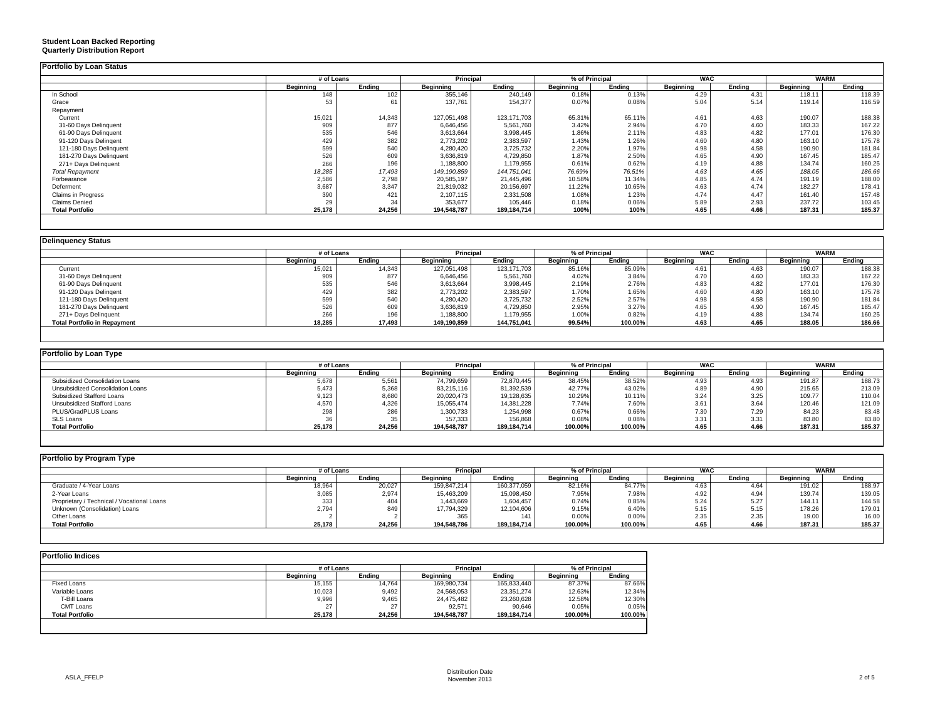| <b>Portfolio by Loan Status</b> |                                                                |        |               |               |           |        |           |        |           |        |
|---------------------------------|----------------------------------------------------------------|--------|---------------|---------------|-----------|--------|-----------|--------|-----------|--------|
|                                 | % of Principal<br><b>Principal</b><br><b>WAC</b><br># of Loans |        |               | <b>WARM</b>   |           |        |           |        |           |        |
|                                 | Beginning                                                      | Endina | Beginning     | Ending        | Beginning | Ending | Beginning | Ending | Beginning | Ending |
| In School                       | 148                                                            | 102    | 355,146       | 240,149       | 0.18%     | 0.13%  | 4.29      | 4.31   | 118.11    | 118.39 |
| Grace                           |                                                                | 61     | 137,761       | 154,377       | 0.07%     | 0.08%  | 5.04      | 5.14   | 119.14    | 116.59 |
| Repayment                       |                                                                |        |               |               |           |        |           |        |           |        |
| Current                         | 15,021                                                         | 14,343 | 127.051.498   | 123, 171, 703 | 65.31%    | 65.11% | 4.61      | 4.63   | 190.07    | 188.38 |
| 31-60 Days Delinquent           | 909                                                            | 877    | 6,646,456     | 5,561,760     | 3.42%     | 2.94%  | 4.70      | 4.60   | 183.33    | 167.22 |
| 61-90 Days Delinquent           | 535                                                            | 546    | 3,613,664     | 3,998,445     | 1.86%     | 2.11%  | 4.83      | 4.82   | 177.01    | 176.30 |
| 91-120 Days Delingent           | 429                                                            | 382    | 2,773,202     | 2,383,597     | 1.43%     | 1.26%  | 4.60      | 4.80   | 163.10    | 175.78 |
| 121-180 Days Delinquent         | 599                                                            | 540    | 4,280,420     | 3,725,732     | 2.20%     | 1.97%  | 4.98      | 4.58   | 190.90    | 181.84 |
| 181-270 Days Delinquent         | 526                                                            | 609    | 3,636,819     | 4,729,850     | 1.87%     | 2.50%  | 4.65      | 4.90   | 167.45    | 185.47 |
| 271+ Days Delinquent            | 266                                                            | 196    | 1,188,800     | 1,179,955     | 0.619     | 0.62%  | 4.19      | 4.88   | 134.74    | 160.25 |
| <b>Total Repayment</b>          | 18,285                                                         | 17,493 | 149, 190, 859 | 144,751,041   | 76.69%    | 76.51% | 4.63      | 4.65   | 188.05    | 186.66 |
| Forbearance                     | 2,586                                                          | 2,798  | 20,585,197    | 21,445,496    | 10.58%    | 11.34% | 4.85      | 4.74   | 191.19    | 188.00 |
| Deferment                       | 3,687                                                          | 3,347  | 21,819,032    | 20,156,697    | 11.22%    | 10.65% | 4.63      | 4.74   | 182.27    | 178.41 |
| <b>Claims in Progress</b>       | 390                                                            | 421    | 2,107,115     | 2,331,508     | 1.08%     | 1.23%  | 4.74      | 4.47   | 161.40    | 157.48 |
| Claims Denied                   | 29                                                             | 34     | 353,677       | 105,446       | 0.18%     | 0.06%  | 5.89      | 2.93   | 237.72    | 103.45 |
| <b>Total Portfolio</b>          | 25,178                                                         | 24,256 | 194,548,787   | 189,184,714   | 100%      | 100%   | 4.65      | 4.66   | 187.31    | 185.37 |

#### **Delinquency Status**

**Student Loan Backed Reporting Quarterly Distribution Report**

|                                     | # of Loans |        | <b>Principal</b> |               | % of Principal |         | <b>WAC</b> |        | <b>WARM</b> |        |
|-------------------------------------|------------|--------|------------------|---------------|----------------|---------|------------|--------|-------------|--------|
|                                     | Beainnina  | Endina | Beainnina        | Endina        | Beainnina      | Endina  | Beainnina  | Endina | Beainnina   | Endina |
| Current                             | 15,021     | 14,343 | 127,051,498      | 123, 171, 703 | 85.16%         | 85.09%  | 4.61       | 4.63   | 190.07      | 188.38 |
| 31-60 Days Delinquent               | 909        | 877    | 6.646.456        | 5,561,760     | 4.02%          | 3.84%   | 4.7C       | 4.60   | 183.33      | 167.22 |
| 61-90 Days Delinquent               | 535        | 546    | 3,613,664        | 3,998,445     | 2.19%          | 2.76%   | 4.83       | 4.82   | 177.01      | 176.30 |
| 91-120 Days Delingent               | 429        | 382    | 2,773,202        | 2,383,597     | 1.70%          | 1.65%   | 4.60       | 4.80   | 163.10      | 175.78 |
| 121-180 Days Delinquent             | 599        | 540    | 4,280,420        | 3,725,732     | 2.52%          | 2.57%   | 4.98       | 4.58   | 190.90      | 181.84 |
| 181-270 Days Delinquent             | 526        | 609    | 3,636,819        | 4,729,850     | 2.95%          | 3.27%   | 4.65       | 4.90   | 167.45      | 185.47 |
| 271+ Days Delinquent                | 266        |        | 1,188,800        | 1,179,955     | 1.00%          | 0.82%   | 4.19       | 4.88   | 134.74      | 160.25 |
| <b>Total Portfolio in Repayment</b> | 18.285     | 17,493 | 149.190.859      | 144.751.041   | 99.54%         | 100.00% | 4.63       | 4.65   | 188.05      | 186.66 |
|                                     |            |        |                  |               |                |         |            |        |             |        |

| <b>Portfolio by Loan Type</b>    |                  |        |                  |             |                |         |                  |        |                  |        |
|----------------------------------|------------------|--------|------------------|-------------|----------------|---------|------------------|--------|------------------|--------|
|                                  | # of Loans       |        | Principal        |             | % of Principal |         | <b>WAC</b>       |        | <b>WARM</b>      |        |
|                                  | <b>Beginning</b> | Endina | <b>Beginning</b> | Endina      | Beainnina      | Endina  | <b>Beainning</b> | Endina | <b>Beainning</b> | Endina |
| Subsidized Consolidation Loans   | 5,678            | 5.561  | 74.799.659       | 72.870.445  | 38.45%         | 38.52%  | 4.93             | 4.93   | 191.87           | 188.73 |
| Unsubsidized Consolidation Loans | 5,473            | 5,368  | 83,215,116       | 81,392,539  | 42.77%         | 43.02%  | 4.89             | 4.90   | 215.65           | 213.09 |
| Subsidized Stafford Loans        | 9,123            | 8,680  | 20,020,473       | 19,128,635  | 10.29%         | 10.11%  | 3.24             | 3.25   | 109.77           | 110.04 |
| Unsubsidized Stafford Loans      | 4,570            | 4,326  | 15,055,474       | 14,381,228  | 7.74%          | 7.60%   | $3.6^{\circ}$    | 3.64   | 120.46           | 121.09 |
| PLUS/GradPLUS Loans              | 298              | 286    | 1,300,733        | 1,254,998   | 0.67%          | 0.66%   | 7.30             | 7.29   | 84.23            | 83.48  |
| SLS Loans                        | 36               | 35     | 157,333          | 156,868     | 0.08%          | 0.08%   | 3.31             | 3.31   | 83.80            | 83.80  |
| <b>Total Portfolio</b>           | 25,178           | 24.256 | 194,548,787      | 189,184,714 | 100.00%        | 100.00% | 4.65             | 4.66   | 187.31           | 185.37 |

| Portfolio by Program Type                  |                  |        |                  |             |           |                |                  |            |                  |             |
|--------------------------------------------|------------------|--------|------------------|-------------|-----------|----------------|------------------|------------|------------------|-------------|
|                                            | # of Loans       |        | <b>Principal</b> |             |           | % of Principal |                  | <b>WAC</b> |                  | <b>WARM</b> |
|                                            | <b>Beginning</b> | Endina | <b>Beginning</b> | Endina      | Beainnina | Endina         | <b>Beginning</b> | Ending     | <b>Beginning</b> | Endina      |
| Graduate / 4-Year Loans                    | 18,964           | 20,027 | 159,847,214      | 160,377,059 | 82.16%    | 84.77%         | 4.63             | 4.64       | 191.02           | 188.97      |
| 2-Year Loans                               | 3,085            | 2,974  | 15,463,209       | 15,098,450  | 7.95%     | 7.98%          | 4.92             | 4.94       | 139.74           | 139.05      |
| Proprietary / Technical / Vocational Loans | 333              | 404    | 1,443,669        | 1,604,457   | 0.74%     | 0.85%          | 5.24             | 5.27       | 144.11           | 144.58      |
| Unknown (Consolidation) Loans              | 2,794            | 849    | 17.794.329       | 12,104,606  | 9.15%     | 6.40%          | 5.15             | 5.15       | 178.26           | 179.01      |
| Other Loans                                |                  |        | 365              | 141         | 0.00%     | 0.00%          | 2.35             | 2.35       | 19.00            | 16.00       |
| <b>Total Portfolio</b>                     | 25,178           | 24,256 | 194,548,786      | 189,184,714 | 100.00%   | 100.00%        | 4.65             | 4.66       | 187.31           | 185.37      |

|                        | # of Loans  |        | Principal        |               | % of Principal   |         |  |
|------------------------|-------------|--------|------------------|---------------|------------------|---------|--|
|                        | Beainnina   | Endina | <b>Beginning</b> | Endina        | <b>Beginning</b> | Endina  |  |
| <b>Fixed Loans</b>     | 15,155      | 14,764 | 169,980,734      | 165,833,440   | 87.37%           | 87.66%  |  |
| Variable Loans         | 10,023      | 9,492  | 24,568,053       | 23,351,274    | 12.63%           | 12.34%  |  |
| T-Bill Loans           | 9,996       | 9,465  | 24,475,482       | 23,260,628    | 12.58%           | 12.30%  |  |
| CMT Loans              | $\sim$<br>۷ | 27     | 92.571           | 90.646        | 0.05%            | 0.05%   |  |
| <b>Total Portfolio</b> | 25.178      | 24.256 | 194.548.787      | 189, 184, 714 | 100.00%          | 100.00% |  |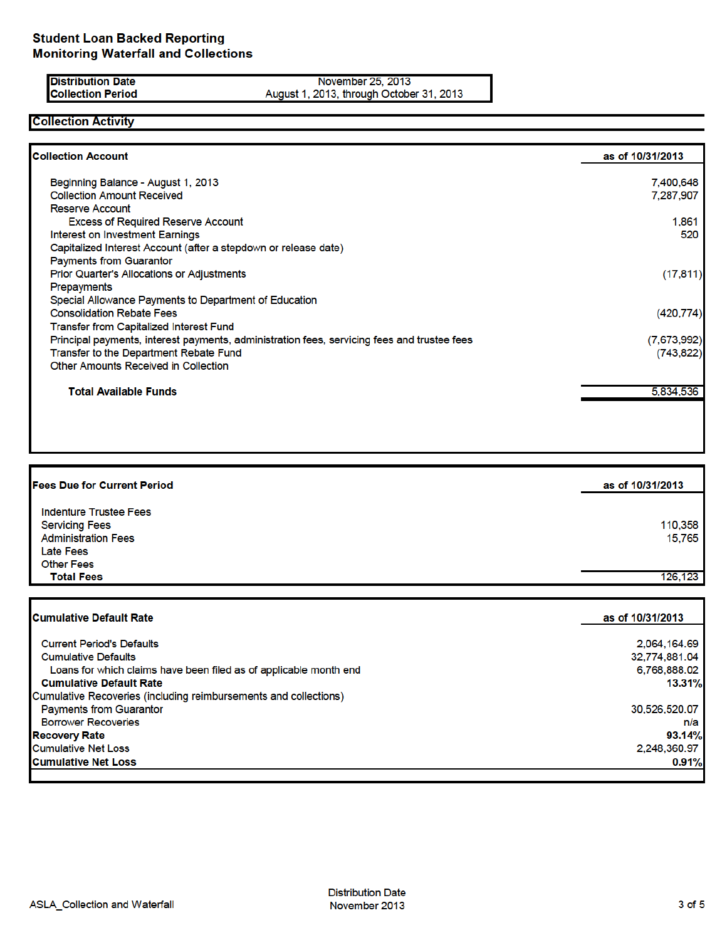#### **Distribution Date Collection Period**

November 25, 2013 August 1, 2013, through October 31, 2013

## **Collection Activity**

| <b>Collection Account</b>                                                                   | as of 10/31/2013 |
|---------------------------------------------------------------------------------------------|------------------|
| Beginning Balance - August 1, 2013                                                          | 7,400,648        |
| <b>Collection Amount Received</b>                                                           | 7,287,907        |
| <b>Reserve Account</b>                                                                      |                  |
| <b>Excess of Required Reserve Account</b>                                                   | 1,861            |
| <b>Interest on Investment Earnings</b>                                                      | 520              |
| Capitalized Interest Account (after a stepdown or release date)                             |                  |
| <b>Payments from Guarantor</b>                                                              |                  |
| <b>Prior Quarter's Allocations or Adjustments</b>                                           | (17, 811)        |
| <b>Prepayments</b>                                                                          |                  |
| Special Allowance Payments to Department of Education                                       |                  |
| <b>Consolidation Rebate Fees</b>                                                            | (420, 774)       |
| Transfer from Capitalized Interest Fund                                                     |                  |
| Principal payments, interest payments, administration fees, servicing fees and trustee fees | (7,673,992)      |
| Transfer to the Department Rebate Fund                                                      | (743, 822)       |
| Other Amounts Received in Collection                                                        |                  |
| <b>Total Available Funds</b>                                                                | 5,834,536        |
|                                                                                             |                  |
|                                                                                             |                  |

| <b>Fees Due for Current Period</b> | as of 10/31/2013 |
|------------------------------------|------------------|
| Indenture Trustee Fees             |                  |
| <b>Servicing Fees</b>              | 110,358          |
| <b>Administration Fees</b>         | 15.765           |
| <b>Late Fees</b>                   |                  |
| <b>Other Fees</b>                  |                  |
| <b>Total Fees</b>                  | 126.123          |

| <b>Cumulative Default Rate</b>                                    | as of 10/31/2013 |
|-------------------------------------------------------------------|------------------|
| <b>Current Period's Defaults</b>                                  | 2,064,164.69     |
| <b>Cumulative Defaults</b>                                        | 32,774,881.04    |
| Loans for which claims have been filed as of applicable month end | 6,768,888.02     |
| <b>Cumulative Default Rate</b>                                    | 13.31%           |
| Cumulative Recoveries (including reimbursements and collections)  |                  |
| <b>Payments from Guarantor</b>                                    | 30,526,520.07    |
| <b>Borrower Recoveries</b>                                        | n/a              |
| <b>Recovery Rate</b>                                              | 93.14%           |
| <b>Cumulative Net Loss</b>                                        | 2,248,360.97     |
| <b>Cumulative Net Loss</b>                                        | 0.91%            |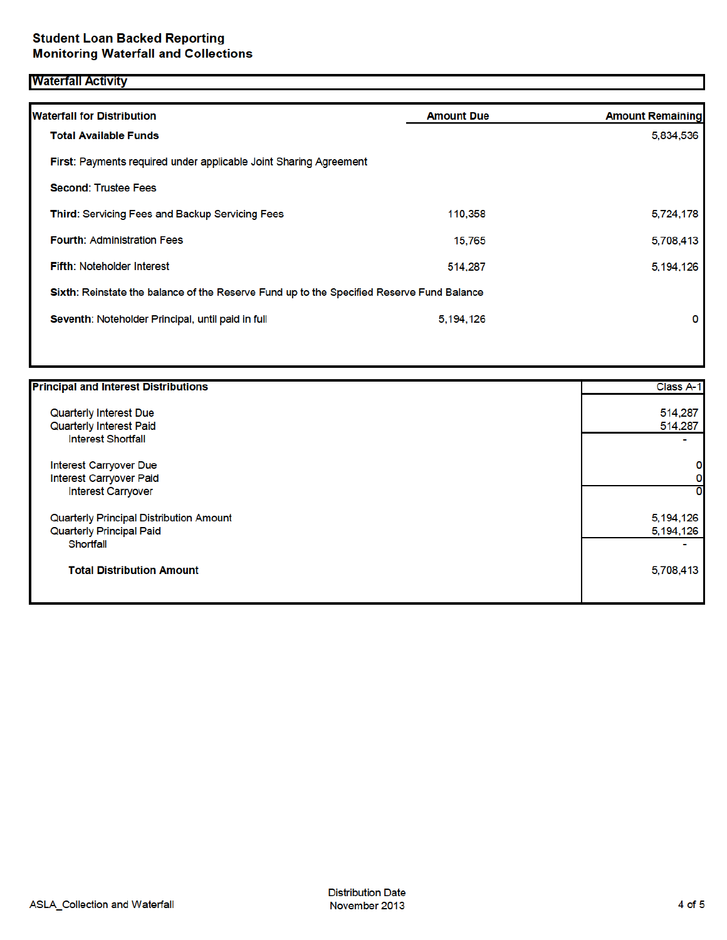## **Waterfall Activity**

| <b>Waterfall for Distribution</b>                                                         | <b>Amount Due</b> | <b>Amount Remaining</b> |
|-------------------------------------------------------------------------------------------|-------------------|-------------------------|
| <b>Total Available Funds</b>                                                              |                   | 5,834,536               |
| First: Payments required under applicable Joint Sharing Agreement                         |                   |                         |
| <b>Second: Trustee Fees</b>                                                               |                   |                         |
| Third: Servicing Fees and Backup Servicing Fees                                           | 110,358           | 5,724,178               |
| <b>Fourth: Administration Fees</b>                                                        | 15.765            | 5,708,413               |
| <b>Fifth: Noteholder Interest</b>                                                         | 514.287           | 5,194,126               |
| Sixth: Reinstate the balance of the Reserve Fund up to the Specified Reserve Fund Balance |                   |                         |
| Seventh: Noteholder Principal, until paid in full                                         | 5.194.126         | 0                       |
|                                                                                           |                   |                         |

| <b>Principal and Interest Distributions</b> | Class A-1   |
|---------------------------------------------|-------------|
| Quarterly Interest Due                      | 514,287     |
| Quarterly Interest Paid                     | 514,287     |
| <b>Interest Shortfall</b>                   |             |
| Interest Carryover Due                      | 0           |
| Interest Carryover Paid                     | 0           |
| <b>Interest Carryover</b>                   | 0           |
| Quarterly Principal Distribution Amount     | 5, 194, 126 |
| <b>Quarterly Principal Paid</b>             | 5,194,126   |
| Shortfall                                   |             |
| <b>Total Distribution Amount</b>            | 5,708,413   |
|                                             |             |